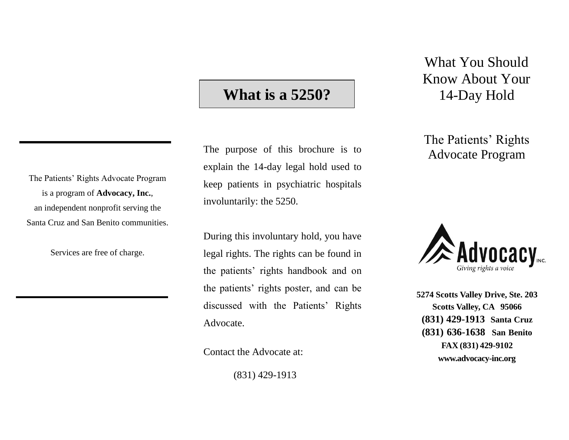# **What is a 5250?**

The purpose of this brochure is to explain the 14-day legal hold used to keep patients in psychiatric hospitals involuntarily: the 5250.

During this involuntary hold, you have legal rights. The rights can be found in the patients' rights handbook and on the patients' rights poster, and can be discussed with the Patients' Rights Advocate.

Contact the Advocate at:

(831) 429-1913

What You Should Know About Your 14-Day Hold

The Patients' Rights Advocate Program



**5274 Scotts Valley Drive, Ste. 203 Scotts Valley, CA 95066 (831) 429-1913 Santa Cruz (831) 636-1638 San Benito FAX (831) 429-9102 [www.advocacy-inc.org](http://www.advocacy-inc.org/)**

The Patients' Rights Advocate Program is a program of **Advocacy, Inc.**, an independent nonprofit serving the Santa Cruz and San Benito communities.

Services are free of charge.